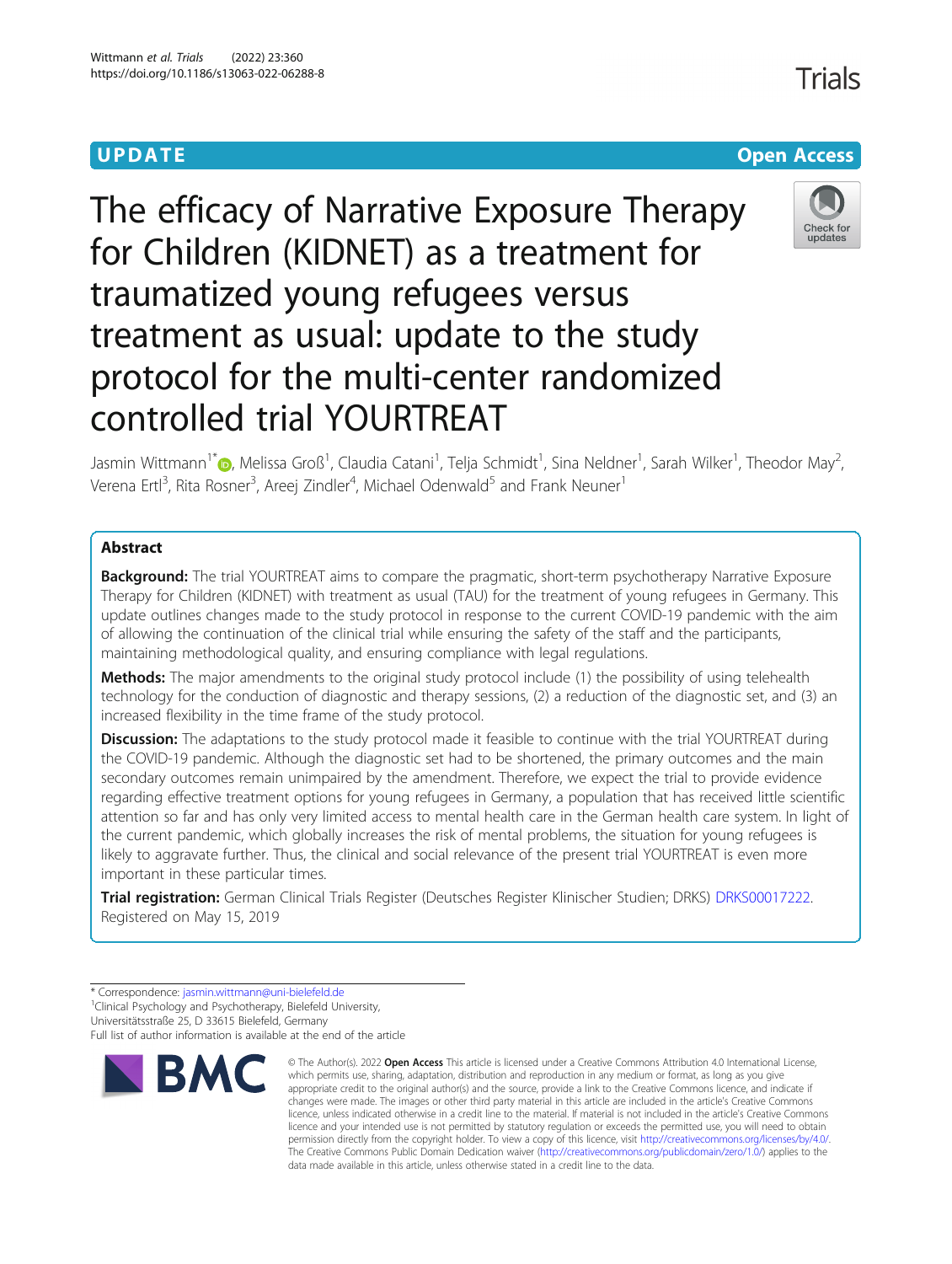**UPDATE CONSERVATION CONSERVATION** 

# The efficacy of Narrative Exposure Therapy for Children (KIDNET) as a treatment for traumatized young refugees versus treatment as usual: update to the study protocol for the multi-center randomized controlled trial YOURTREAT



Jasmin Wittmann<sup>1[\\*](http://orcid.org/0000-0002-7224-3293)</sup>�, Melissa Groß<sup>1</sup>, Claudia Catani<sup>1</sup>, Telja Schmidt<sup>1</sup>, Sina Neldner<sup>1</sup>, Sarah Wilker<sup>1</sup>, Theodor May<sup>2</sup> .<br>, Verena Ertl<sup>3</sup>, Rita Rosner<sup>3</sup>, Areej Zindler<sup>4</sup>, Michael Odenwald<sup>5</sup> and Frank Neuner<sup>1</sup>

# Abstract

**Background:** The trial YOURTREAT aims to compare the pragmatic, short-term psychotherapy Narrative Exposure Therapy for Children (KIDNET) with treatment as usual (TAU) for the treatment of young refugees in Germany. This update outlines changes made to the study protocol in response to the current COVID-19 pandemic with the aim of allowing the continuation of the clinical trial while ensuring the safety of the staff and the participants, maintaining methodological quality, and ensuring compliance with legal regulations.

**Methods:** The major amendments to the original study protocol include (1) the possibility of using telehealth technology for the conduction of diagnostic and therapy sessions, (2) a reduction of the diagnostic set, and (3) an increased flexibility in the time frame of the study protocol.

Discussion: The adaptations to the study protocol made it feasible to continue with the trial YOURTREAT during the COVID-19 pandemic. Although the diagnostic set had to be shortened, the primary outcomes and the main secondary outcomes remain unimpaired by the amendment. Therefore, we expect the trial to provide evidence regarding effective treatment options for young refugees in Germany, a population that has received little scientific attention so far and has only very limited access to mental health care in the German health care system. In light of the current pandemic, which globally increases the risk of mental problems, the situation for young refugees is likely to aggravate further. Thus, the clinical and social relevance of the present trial YOURTREAT is even more important in these particular times.

Trial registration: German Clinical Trials Register (Deutsches Register Klinischer Studien; DRKS) [DRKS00017222](http://www.drks.de/drks_web/navigate.do?navigationId=trial.HTML&TRIAL_ID=DRKS00017222). Registered on May 15, 2019

Full list of author information is available at the end of the article



<sup>©</sup> The Author(s), 2022 **Open Access** This article is licensed under a Creative Commons Attribution 4.0 International License, which permits use, sharing, adaptation, distribution and reproduction in any medium or format, as long as you give appropriate credit to the original author(s) and the source, provide a link to the Creative Commons licence, and indicate if changes were made. The images or other third party material in this article are included in the article's Creative Commons licence, unless indicated otherwise in a credit line to the material. If material is not included in the article's Creative Commons licence and your intended use is not permitted by statutory regulation or exceeds the permitted use, you will need to obtain permission directly from the copyright holder. To view a copy of this licence, visit [http://creativecommons.org/licenses/by/4.0/.](http://creativecommons.org/licenses/by/4.0/) The Creative Commons Public Domain Dedication waiver [\(http://creativecommons.org/publicdomain/zero/1.0/](http://creativecommons.org/publicdomain/zero/1.0/)) applies to the data made available in this article, unless otherwise stated in a credit line to the data.

Trials

<sup>\*</sup> Correspondence: [jasmin.wittmann@uni-bielefeld.de](mailto:jasmin.wittmann@uni-bielefeld.de) <sup>1</sup> <sup>1</sup>Clinical Psychology and Psychotherapy, Bielefeld University, Universitätsstraße 25, D 33615 Bielefeld, Germany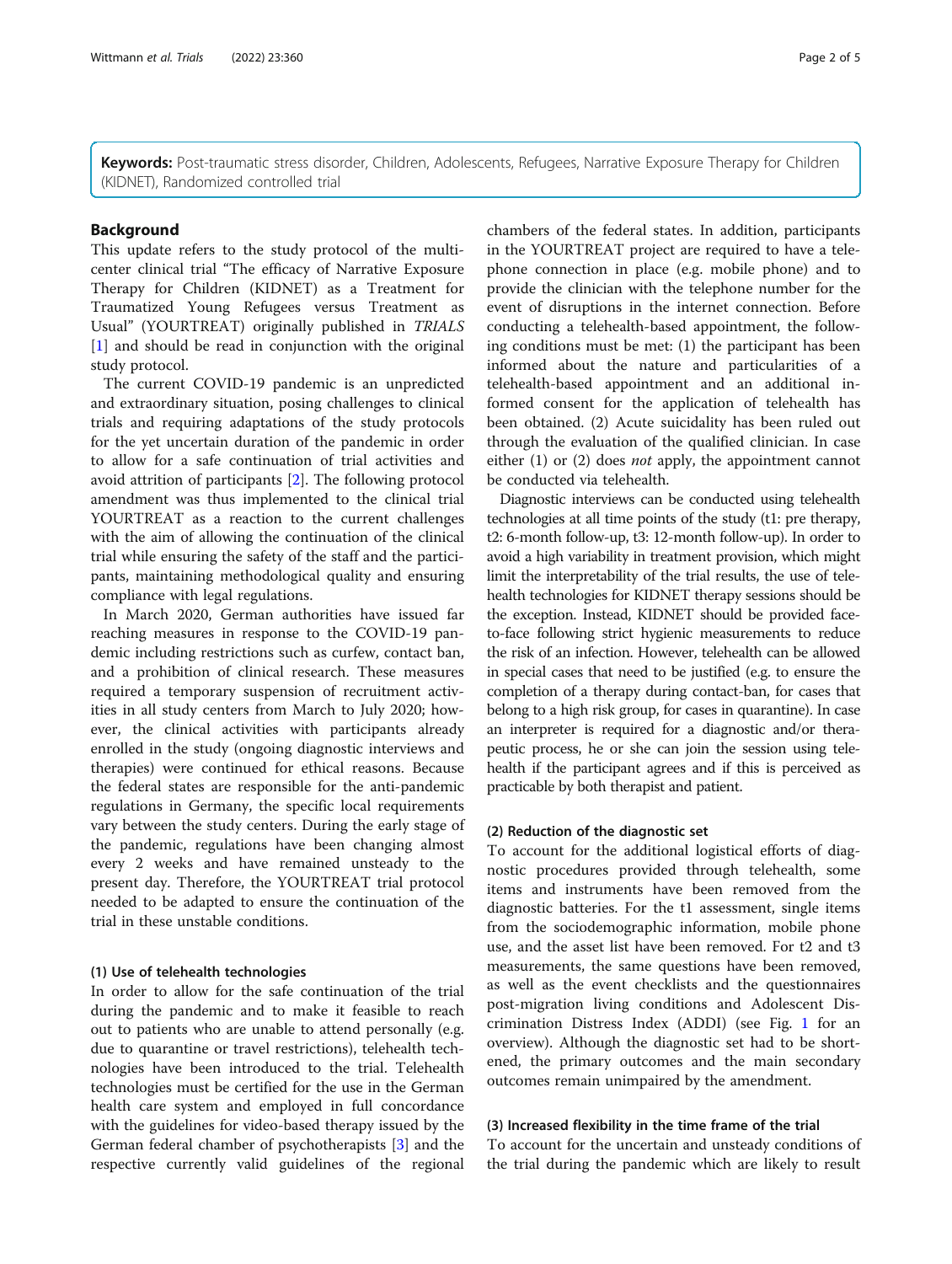Keywords: Post-traumatic stress disorder, Children, Adolescents, Refugees, Narrative Exposure Therapy for Children (KIDNET), Randomized controlled trial

#### Background

This update refers to the study protocol of the multicenter clinical trial "The efficacy of Narrative Exposure Therapy for Children (KIDNET) as a Treatment for Traumatized Young Refugees versus Treatment as Usual" (YOURTREAT) originally published in TRIALS [[1\]](#page-4-0) and should be read in conjunction with the original study protocol.

The current COVID-19 pandemic is an unpredicted and extraordinary situation, posing challenges to clinical trials and requiring adaptations of the study protocols for the yet uncertain duration of the pandemic in order to allow for a safe continuation of trial activities and avoid attrition of participants [[2\]](#page-4-0). The following protocol amendment was thus implemented to the clinical trial YOURTREAT as a reaction to the current challenges with the aim of allowing the continuation of the clinical trial while ensuring the safety of the staff and the participants, maintaining methodological quality and ensuring compliance with legal regulations.

In March 2020, German authorities have issued far reaching measures in response to the COVID-19 pandemic including restrictions such as curfew, contact ban, and a prohibition of clinical research. These measures required a temporary suspension of recruitment activities in all study centers from March to July 2020; however, the clinical activities with participants already enrolled in the study (ongoing diagnostic interviews and therapies) were continued for ethical reasons. Because the federal states are responsible for the anti-pandemic regulations in Germany, the specific local requirements vary between the study centers. During the early stage of the pandemic, regulations have been changing almost every 2 weeks and have remained unsteady to the present day. Therefore, the YOURTREAT trial protocol needed to be adapted to ensure the continuation of the trial in these unstable conditions.

#### (1) Use of telehealth technologies

In order to allow for the safe continuation of the trial during the pandemic and to make it feasible to reach out to patients who are unable to attend personally (e.g. due to quarantine or travel restrictions), telehealth technologies have been introduced to the trial. Telehealth technologies must be certified for the use in the German health care system and employed in full concordance with the guidelines for video-based therapy issued by the German federal chamber of psychotherapists [\[3\]](#page-4-0) and the respective currently valid guidelines of the regional

chambers of the federal states. In addition, participants in the YOURTREAT project are required to have a telephone connection in place (e.g. mobile phone) and to provide the clinician with the telephone number for the event of disruptions in the internet connection. Before conducting a telehealth-based appointment, the following conditions must be met: (1) the participant has been informed about the nature and particularities of a telehealth-based appointment and an additional informed consent for the application of telehealth has been obtained. (2) Acute suicidality has been ruled out through the evaluation of the qualified clinician. In case either  $(1)$  or  $(2)$  does *not* apply, the appointment cannot be conducted via telehealth.

Diagnostic interviews can be conducted using telehealth technologies at all time points of the study (t1: pre therapy, t2: 6-month follow-up, t3: 12-month follow-up). In order to avoid a high variability in treatment provision, which might limit the interpretability of the trial results, the use of telehealth technologies for KIDNET therapy sessions should be the exception. Instead, KIDNET should be provided faceto-face following strict hygienic measurements to reduce the risk of an infection. However, telehealth can be allowed in special cases that need to be justified (e.g. to ensure the completion of a therapy during contact-ban, for cases that belong to a high risk group, for cases in quarantine). In case an interpreter is required for a diagnostic and/or therapeutic process, he or she can join the session using telehealth if the participant agrees and if this is perceived as practicable by both therapist and patient.

#### (2) Reduction of the diagnostic set

To account for the additional logistical efforts of diagnostic procedures provided through telehealth, some items and instruments have been removed from the diagnostic batteries. For the t1 assessment, single items from the sociodemographic information, mobile phone use, and the asset list have been removed. For t2 and t3 measurements, the same questions have been removed, as well as the event checklists and the questionnaires post-migration living conditions and Adolescent Discrimination Distress Index (ADDI) (see Fig. [1](#page-3-0) for an overview). Although the diagnostic set had to be shortened, the primary outcomes and the main secondary outcomes remain unimpaired by the amendment.

#### (3) Increased flexibility in the time frame of the trial

To account for the uncertain and unsteady conditions of the trial during the pandemic which are likely to result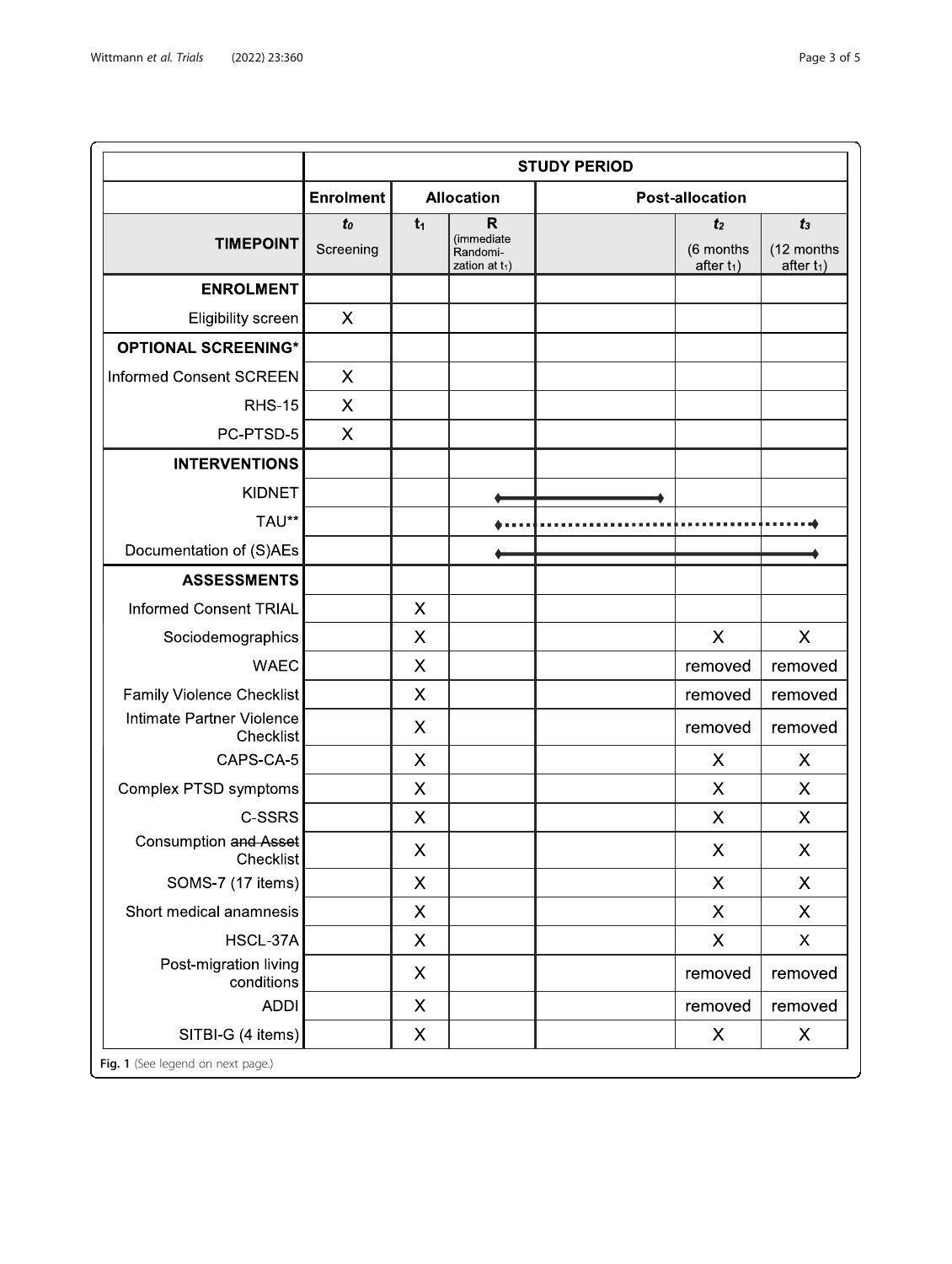|                                           | <b>STUDY PERIOD</b>         |                           |                                                             |                        |                                              |                                               |
|-------------------------------------------|-----------------------------|---------------------------|-------------------------------------------------------------|------------------------|----------------------------------------------|-----------------------------------------------|
|                                           | <b>Enrolment</b>            | <b>Allocation</b>         |                                                             | <b>Post-allocation</b> |                                              |                                               |
| <b>TIMEPOINT</b>                          | t <sub>0</sub><br>Screening | $t_1$                     | $\mathsf{R}$<br>(immediate<br>Randomi-<br>zation at $t_1$ ) |                        | t <sub>2</sub><br>(6 months<br>after $t_1$ ) | t <sub>3</sub><br>(12 months<br>after $t_1$ ) |
| <b>ENROLMENT</b>                          |                             |                           |                                                             |                        |                                              |                                               |
| <b>Eligibility screen</b>                 | $\boldsymbol{\mathsf{X}}$   |                           |                                                             |                        |                                              |                                               |
| <b>OPTIONAL SCREENING*</b>                |                             |                           |                                                             |                        |                                              |                                               |
| <b>Informed Consent SCREEN</b>            | $\boldsymbol{\mathsf{X}}$   |                           |                                                             |                        |                                              |                                               |
| <b>RHS-15</b>                             | $\boldsymbol{\mathsf{X}}$   |                           |                                                             |                        |                                              |                                               |
| PC-PTSD-5                                 | $\boldsymbol{\mathsf{X}}$   |                           |                                                             |                        |                                              |                                               |
| <b>INTERVENTIONS</b>                      |                             |                           |                                                             |                        |                                              |                                               |
| <b>KIDNET</b>                             |                             |                           |                                                             |                        |                                              |                                               |
| TAU**                                     |                             |                           |                                                             |                        |                                              |                                               |
| Documentation of (S)AEs                   |                             |                           |                                                             |                        |                                              |                                               |
| <b>ASSESSMENTS</b>                        |                             |                           |                                                             |                        |                                              |                                               |
| Informed Consent TRIAL                    |                             | $\times$                  |                                                             |                        |                                              |                                               |
| Sociodemographics                         |                             | $\times$                  |                                                             |                        | $\boldsymbol{\mathsf{X}}$                    | $\times$                                      |
| <b>WAEC</b>                               |                             | $\times$                  |                                                             |                        | removed                                      | removed                                       |
| Family Violence Checklist                 |                             | $\times$                  |                                                             |                        | removed                                      | removed                                       |
| Intimate Partner Violence<br>Checklist    |                             | X                         |                                                             |                        | removed                                      | removed                                       |
| CAPS-CA-5                                 |                             | $\boldsymbol{\mathsf{X}}$ |                                                             |                        | $\boldsymbol{\mathsf{X}}$                    | X                                             |
| Complex PTSD symptoms                     |                             | $\times$                  |                                                             |                        | X                                            | X                                             |
| C-SSRS                                    |                             | $\times$                  |                                                             |                        | $\times$                                     | X                                             |
| <b>Consumption and Asset</b><br>Checklist |                             | X                         |                                                             |                        | X                                            | X                                             |
| SOMS-7 (17 items)                         |                             | X                         |                                                             |                        | X                                            | X                                             |
| Short medical anamnesis                   |                             | X                         |                                                             |                        | X                                            | X                                             |
| HSCL-37A                                  |                             | X                         |                                                             |                        | X                                            | X                                             |
| Post-migration living<br>conditions       |                             | X                         |                                                             |                        | removed                                      | removed                                       |
| <b>ADDI</b>                               |                             | X                         |                                                             |                        | removed                                      | removed                                       |
| SITBI-G (4 items)                         |                             | X                         |                                                             |                        | X                                            | X                                             |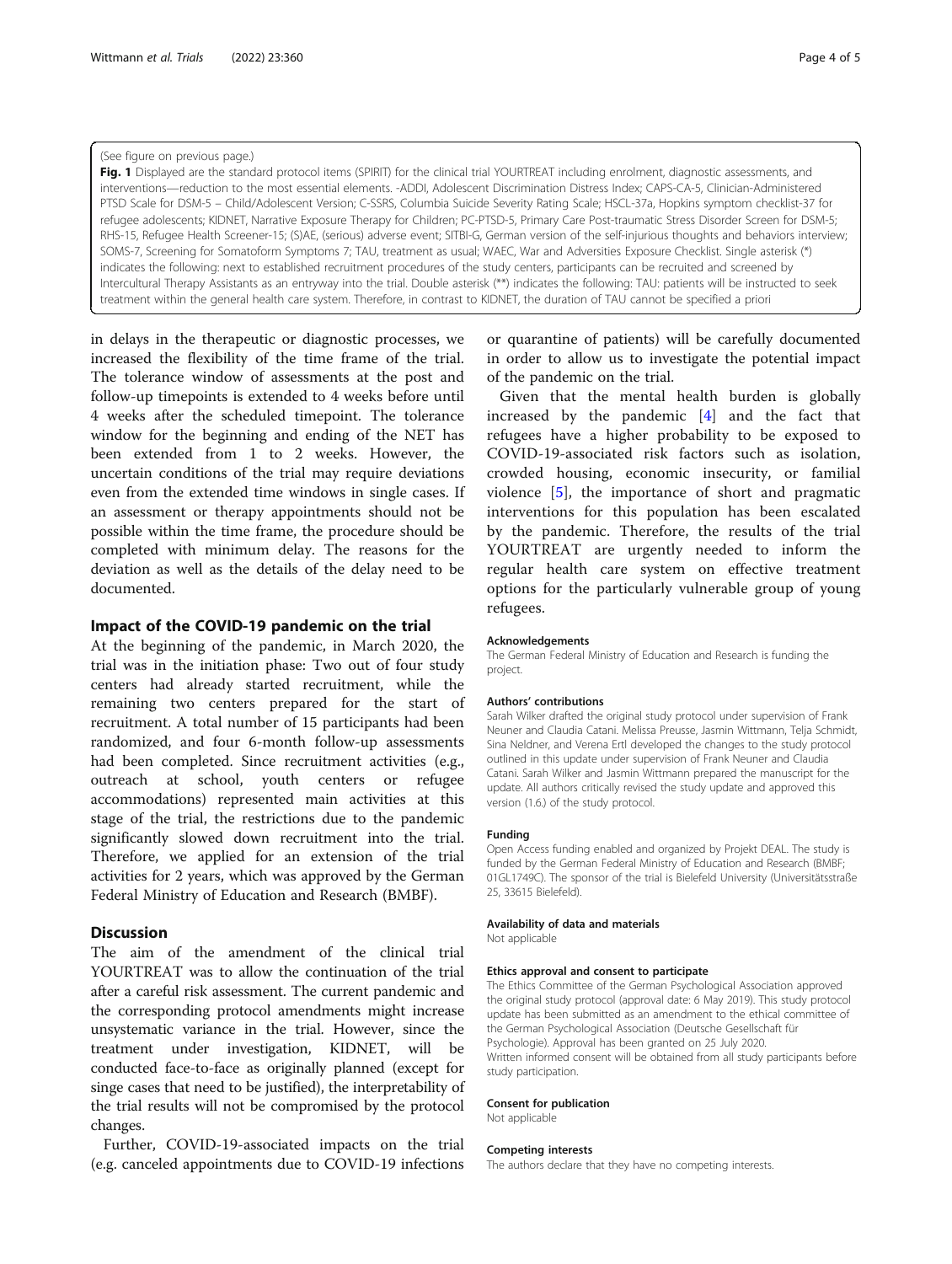#### <span id="page-3-0"></span>(See figure on previous page.)

Fig. 1 Displayed are the standard protocol items (SPIRIT) for the clinical trial YOURTREAT including enrolment, diagnostic assessments, and interventions—reduction to the most essential elements. -ADDI, Adolescent Discrimination Distress Index; CAPS-CA-5, Clinician-Administered PTSD Scale for DSM-5 – Child/Adolescent Version; C-SSRS, Columbia Suicide Severity Rating Scale; HSCL-37a, Hopkins symptom checklist-37 for refugee adolescents; KIDNET, Narrative Exposure Therapy for Children; PC-PTSD-5, Primary Care Post-traumatic Stress Disorder Screen for DSM-5; RHS-15, Refugee Health Screener-15; (S)AE, (serious) adverse event; SITBI-G, German version of the self-injurious thoughts and behaviors interview; SOMS-7, Screening for Somatoform Symptoms 7; TAU, treatment as usual; WAEC, War and Adversities Exposure Checklist. Single asterisk (\*) indicates the following: next to established recruitment procedures of the study centers, participants can be recruited and screened by Intercultural Therapy Assistants as an entryway into the trial. Double asterisk (\*\*) indicates the following: TAU: patients will be instructed to seek treatment within the general health care system. Therefore, in contrast to KIDNET, the duration of TAU cannot be specified a priori

in delays in the therapeutic or diagnostic processes, we increased the flexibility of the time frame of the trial. The tolerance window of assessments at the post and follow-up timepoints is extended to 4 weeks before until 4 weeks after the scheduled timepoint. The tolerance window for the beginning and ending of the NET has been extended from 1 to 2 weeks. However, the uncertain conditions of the trial may require deviations even from the extended time windows in single cases. If an assessment or therapy appointments should not be possible within the time frame, the procedure should be completed with minimum delay. The reasons for the deviation as well as the details of the delay need to be documented.

# Impact of the COVID-19 pandemic on the trial

At the beginning of the pandemic, in March 2020, the trial was in the initiation phase: Two out of four study centers had already started recruitment, while the remaining two centers prepared for the start of recruitment. A total number of 15 participants had been randomized, and four 6-month follow-up assessments had been completed. Since recruitment activities (e.g., outreach at school, youth centers or refugee accommodations) represented main activities at this stage of the trial, the restrictions due to the pandemic significantly slowed down recruitment into the trial. Therefore, we applied for an extension of the trial activities for 2 years, which was approved by the German Federal Ministry of Education and Research (BMBF).

# Discussion

The aim of the amendment of the clinical trial YOURTREAT was to allow the continuation of the trial after a careful risk assessment. The current pandemic and the corresponding protocol amendments might increase unsystematic variance in the trial. However, since the treatment under investigation, KIDNET, will be conducted face-to-face as originally planned (except for singe cases that need to be justified), the interpretability of the trial results will not be compromised by the protocol changes.

Further, COVID-19-associated impacts on the trial (e.g. canceled appointments due to COVID-19 infections

or quarantine of patients) will be carefully documented in order to allow us to investigate the potential impact of the pandemic on the trial.

Given that the mental health burden is globally increased by the pandemic [\[4](#page-4-0)] and the fact that refugees have a higher probability to be exposed to COVID-19-associated risk factors such as isolation, crowded housing, economic insecurity, or familial violence [[5\]](#page-4-0), the importance of short and pragmatic interventions for this population has been escalated by the pandemic. Therefore, the results of the trial YOURTREAT are urgently needed to inform the regular health care system on effective treatment options for the particularly vulnerable group of young refugees.

#### Acknowledgements

The German Federal Ministry of Education and Research is funding the project.

#### Authors' contributions

Sarah Wilker drafted the original study protocol under supervision of Frank Neuner and Claudia Catani. Melissa Preusse, Jasmin Wittmann, Telja Schmidt, Sina Neldner, and Verena Ertl developed the changes to the study protocol outlined in this update under supervision of Frank Neuner and Claudia Catani. Sarah Wilker and Jasmin Wittmann prepared the manuscript for the update. All authors critically revised the study update and approved this version (1.6.) of the study protocol.

#### Funding

Open Access funding enabled and organized by Projekt DEAL. The study is funded by the German Federal Ministry of Education and Research (BMBF; 01GL1749C). The sponsor of the trial is Bielefeld University (Universitätsstraße 25, 33615 Bielefeld).

# Availability of data and materials

Not applicable

#### Ethics approval and consent to participate

The Ethics Committee of the German Psychological Association approved the original study protocol (approval date: 6 May 2019). This study protocol update has been submitted as an amendment to the ethical committee of the German Psychological Association (Deutsche Gesellschaft für Psychologie). Approval has been granted on 25 July 2020. Written informed consent will be obtained from all study participants before study participation.

### Consent for publication

Not applicable

#### Competing interests

The authors declare that they have no competing interests.